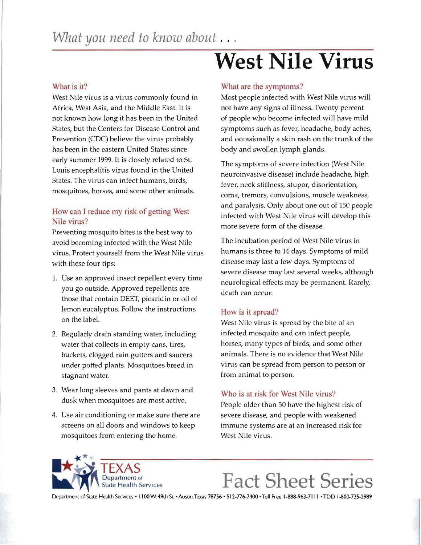### What is it?

West Nile virus is a virus commonly found in Africa, West Asia, and the Middle East. It is not known how long it has been in the United States, but the Centers for Disease Control and Prevention (CDC) believe the virus probably has been in the eastern United States since early summer 1999. It is closely related to St. Louis encephalitis virus found in the United States. The virus can infect humans, birds, mosquitoes, horses, and some other animals.

### How can I reduce my risk of getting West Nile virus?

Preventing mosquito bites is the best way to avoid becoming infected with the West Nile virus. Protect yourself from the West Nile virus with these four tips:

- 1. Use an approved insect repellent every time you go outside. Approved repellents are those that contain DEET, picaridin or oil of lemon eucalyptus. Follow the instructions on the label.
- 2. Regularly drain standing water, including water that collects in empty cans, tires, buckets, clogged rain gutters and saucers under potted plants. Mosquitoes breed in stagnant water.
- 3. Wear long sleeves and pants at dawn and dusk when mosquitoes are most active.
- 4. Use air conditioning or make sure there are screens on all doors and windows to keep mosquitoes from entering the home.

# **West Nile Virus**

### What are the symptoms?

Most people infected with West Nile virus will not have any signs of illness. Twenty percent of people who become infected will have mild symptoms such as fever, headache, body aches, and occasionally a skin rash on the trunk of the body and swollen lymph glands.

The symptoms of severe infection (West Nile neuroinvasive disease) include headache, high fever, neck stiffness, stupor, disorientation, coma, tremors, convulsions, muscle weakness, and paralysis. Only about one out of 150 people infected with West Nile virus will develop this more severe form of the disease.

The incubation period of West Nile virus in humans is three to 14 days. Symptoms of mild disease may last a few days. Symptoms of severe disease may last several weeks, although neurological effects may be permanent. Rarely, death can occur.

### How is it spread?

West Nile virus is spread by the bite of an infected mosquito and can infect people, horses, many types of birds, and some other animals. There is no evidence that West Nile virus can be spread from person to person or from animal to person.

### Who is at risk for West Nile virus?

People older than 50 have the highest risk of severe disease, and people with weakened immune systems are at an increased risk for West Nile virus.



# **F act Sheet Series**

Department of State Health Services . I 100 W. 49th St. . Austin, Texas 78756 . 512-776-7400 . Toll Free 1-888-963-7111 . TDD 1-800-735-2989